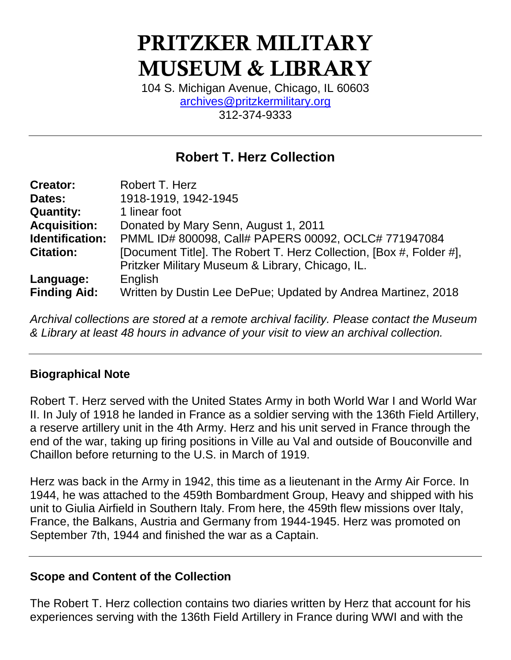# **PRITZKER MILITARY MUSEUM & LIBRARY**

104 S. Michigan Avenue, Chicago, IL 60603 [archives@pritzkermilitary.org](mailto:archives@pritzkermilitary.org)  312-374-9333

# **Robert T. Herz Collection**

| <b>Creator:</b>        | Robert T. Herz                                                      |
|------------------------|---------------------------------------------------------------------|
| Dates:                 | 1918-1919, 1942-1945                                                |
| <b>Quantity:</b>       | 1 linear foot                                                       |
| <b>Acquisition:</b>    | Donated by Mary Senn, August 1, 2011                                |
| <b>Identification:</b> | PMML ID# 800098, Call# PAPERS 00092, OCLC# 771947084                |
| <b>Citation:</b>       | [Document Title]. The Robert T. Herz Collection, [Box #, Folder #], |
|                        | Pritzker Military Museum & Library, Chicago, IL.                    |
| Language:              | English                                                             |
| <b>Finding Aid:</b>    | Written by Dustin Lee DePue; Updated by Andrea Martinez, 2018       |

*Archival collections are stored at a remote archival facility. Please contact the Museum & Library at least 48 hours in advance of your visit to view an archival collection.*

#### **Biographical Note**

Robert T. Herz served with the United States Army in both World War I and World War II. In July of 1918 he landed in France as a soldier serving with the 136th Field Artillery, a reserve artillery unit in the 4th Army. Herz and his unit served in France through the end of the war, taking up firing positions in Ville au Val and outside of Bouconville and Chaillon before returning to the U.S. in March of 1919.

Herz was back in the Army in 1942, this time as a lieutenant in the Army Air Force. In 1944, he was attached to the 459th Bombardment Group, Heavy and shipped with his unit to Giulia Airfield in Southern Italy. From here, the 459th flew missions over Italy, France, the Balkans, Austria and Germany from 1944-1945. Herz was promoted on September 7th, 1944 and finished the war as a Captain.

#### **Scope and Content of the Collection**

The Robert T. Herz collection contains two diaries written by Herz that account for his experiences serving with the 136th Field Artillery in France during WWI and with the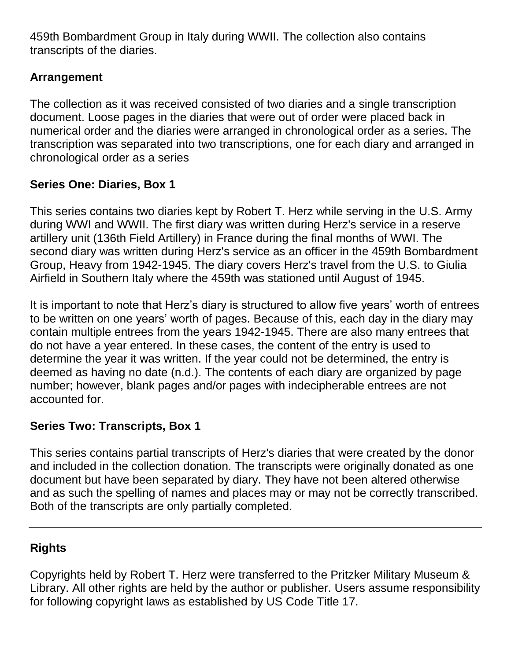459th Bombardment Group in Italy during WWII. The collection also contains transcripts of the diaries.

# **Arrangement**

The collection as it was received consisted of two diaries and a single transcription document. Loose pages in the diaries that were out of order were placed back in numerical order and the diaries were arranged in chronological order as a series. The transcription was separated into two transcriptions, one for each diary and arranged in chronological order as a series

# **Series One: Diaries, Box 1**

This series contains two diaries kept by Robert T. Herz while serving in the U.S. Army during WWI and WWII. The first diary was written during Herz's service in a reserve artillery unit (136th Field Artillery) in France during the final months of WWI. The second diary was written during Herz's service as an officer in the 459th Bombardment Group, Heavy from 1942-1945. The diary covers Herz's travel from the U.S. to Giulia Airfield in Southern Italy where the 459th was stationed until August of 1945.

It is important to note that Herz's diary is structured to allow five years' worth of entrees to be written on one years' worth of pages. Because of this, each day in the diary may contain multiple entrees from the years 1942-1945. There are also many entrees that do not have a year entered. In these cases, the content of the entry is used to determine the year it was written. If the year could not be determined, the entry is deemed as having no date (n.d.). The contents of each diary are organized by page number; however, blank pages and/or pages with indecipherable entrees are not accounted for.

# **Series Two: Transcripts, Box 1**

This series contains partial transcripts of Herz's diaries that were created by the donor and included in the collection donation. The transcripts were originally donated as one document but have been separated by diary. They have not been altered otherwise and as such the spelling of names and places may or may not be correctly transcribed. Both of the transcripts are only partially completed.

# **Rights**

Copyrights held by Robert T. Herz were transferred to the Pritzker Military Museum & Library. All other rights are held by the author or publisher. Users assume responsibility for following copyright laws as established by US Code Title 17.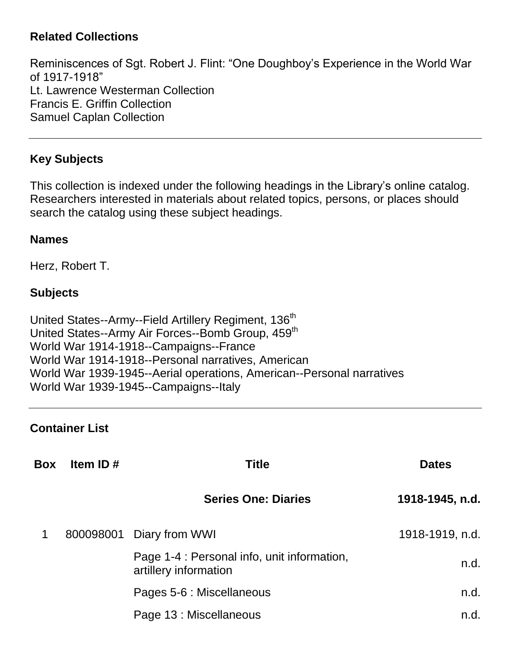#### **Related Collections**

Reminiscences of Sgt. Robert J. Flint: "One Doughboy's Experience in the World War of 1917-1918" Lt. Lawrence Westerman Collection Francis E. Griffin Collection Samuel Caplan Collection

### **Key Subjects**

This collection is indexed under the following headings in the Library's online catalog. Researchers interested in materials about related topics, persons, or places should search the catalog using these subject headings.

#### **Names**

Herz, Robert T.

## **Subjects**

United States--Army--Field Artillery Regiment, 136<sup>th</sup> United States--Army Air Forces--Bomb Group, 459<sup>th</sup> World War 1914-1918--Campaigns--France World War 1914-1918--Personal narratives, American World War 1939-1945--Aerial operations, American--Personal narratives World War 1939-1945--Campaigns--Italy

#### **Container List**

| Box | Item ID $#$ | <b>Title</b>                                                         | <b>Dates</b>    |
|-----|-------------|----------------------------------------------------------------------|-----------------|
|     |             | <b>Series One: Diaries</b>                                           | 1918-1945, n.d. |
|     | 800098001   | Diary from WWI                                                       | 1918-1919, n.d. |
|     |             | Page 1-4 : Personal info, unit information,<br>artillery information | n.d.            |
|     |             | Pages 5-6 : Miscellaneous                                            | n.d.            |
|     |             | Page 13 : Miscellaneous                                              | n.d.            |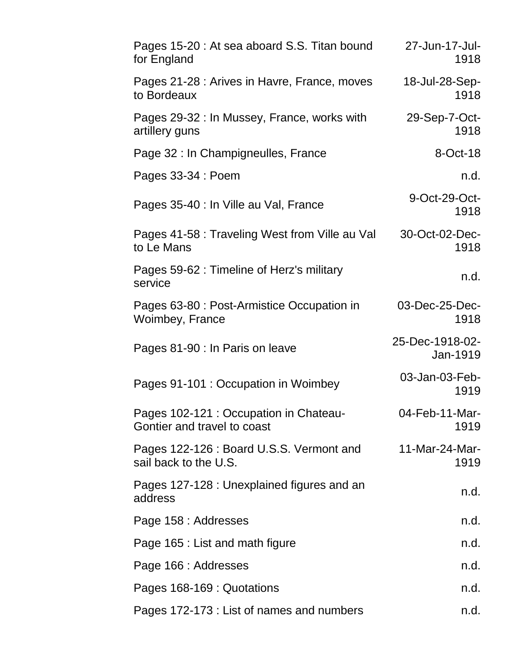| Pages 15-20 : At sea aboard S.S. Titan bound<br>for England           | 27-Jun-17-Jul-<br>1918      |
|-----------------------------------------------------------------------|-----------------------------|
| Pages 21-28 : Arives in Havre, France, moves<br>to Bordeaux           | 18-Jul-28-Sep-<br>1918      |
| Pages 29-32 : In Mussey, France, works with<br>artillery guns         | 29-Sep-7-Oct-<br>1918       |
| Page 32 : In Champigneulles, France                                   | 8-Oct-18                    |
| Pages 33-34 : Poem                                                    | n.d.                        |
| Pages 35-40 : In Ville au Val, France                                 | 9-Oct-29-Oct-<br>1918       |
| Pages 41-58 : Traveling West from Ville au Val<br>to Le Mans          | 30-Oct-02-Dec-<br>1918      |
| Pages 59-62 : Timeline of Herz's military<br>service                  | n.d.                        |
| Pages 63-80 : Post-Armistice Occupation in<br>Woimbey, France         | 03-Dec-25-Dec-<br>1918      |
| Pages 81-90 : In Paris on leave                                       | 25-Dec-1918-02-<br>Jan-1919 |
| Pages 91-101 : Occupation in Woimbey                                  | 03-Jan-03-Feb-<br>1919      |
| Pages 102-121 : Occupation in Chateau-<br>Gontier and travel to coast | 04-Feb-11-Mar-<br>1919      |
| Pages 122-126 : Board U.S.S. Vermont and<br>sail back to the U.S.     | 11-Mar-24-Mar-<br>1919      |
| Pages 127-128 : Unexplained figures and an<br>address                 | n.d.                        |
| Page 158 : Addresses                                                  | n.d.                        |
| Page 165 : List and math figure                                       | n.d.                        |
| Page 166 : Addresses                                                  | n.d.                        |
|                                                                       |                             |
| Pages 168-169 : Quotations                                            | n.d.                        |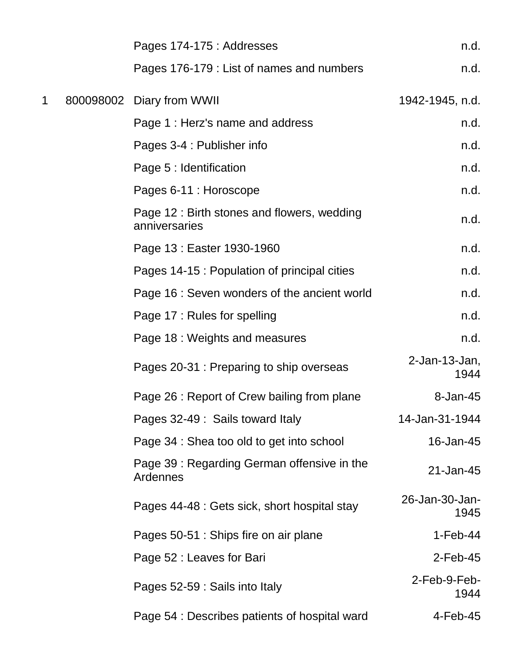|   | Pages 174-175 : Addresses                                   | n.d.                     |
|---|-------------------------------------------------------------|--------------------------|
|   | Pages 176-179 : List of names and numbers                   | n.d.                     |
| 1 | 800098002 Diary from WWII                                   | 1942-1945, n.d.          |
|   | Page 1: Herz's name and address                             | n.d.                     |
|   | Pages 3-4 : Publisher info                                  | n.d.                     |
|   | Page 5 : Identification                                     | n.d.                     |
|   | Pages 6-11 : Horoscope                                      | n.d.                     |
|   | Page 12: Birth stones and flowers, wedding<br>anniversaries | n.d.                     |
|   | Page 13 : Easter 1930-1960                                  | n.d.                     |
|   | Pages 14-15 : Population of principal cities                | n.d.                     |
|   | Page 16 : Seven wonders of the ancient world                | n.d.                     |
|   | Page 17 : Rules for spelling                                | n.d.                     |
|   | Page 18 : Weights and measures                              | n.d.                     |
|   | Pages 20-31 : Preparing to ship overseas                    | $2$ -Jan-13-Jan,<br>1944 |
|   | Page 26 : Report of Crew bailing from plane                 | 8-Jan-45                 |
|   | Pages 32-49 : Sails toward Italy                            | 14-Jan-31-1944           |
|   | Page 34 : Shea too old to get into school                   | 16-Jan-45                |
|   | Page 39: Regarding German offensive in the<br>Ardennes      | 21-Jan-45                |
|   | Pages 44-48 : Gets sick, short hospital stay                | 26-Jan-30-Jan-<br>1945   |
|   | Pages 50-51 : Ships fire on air plane                       | $1-Feb-44$               |
|   | Page 52 : Leaves for Bari                                   | $2$ -Feb-45              |
|   | Pages 52-59 : Sails into Italy                              | 2-Feb-9-Feb-<br>1944     |
|   | Page 54 : Describes patients of hospital ward               | 4-Feb-45                 |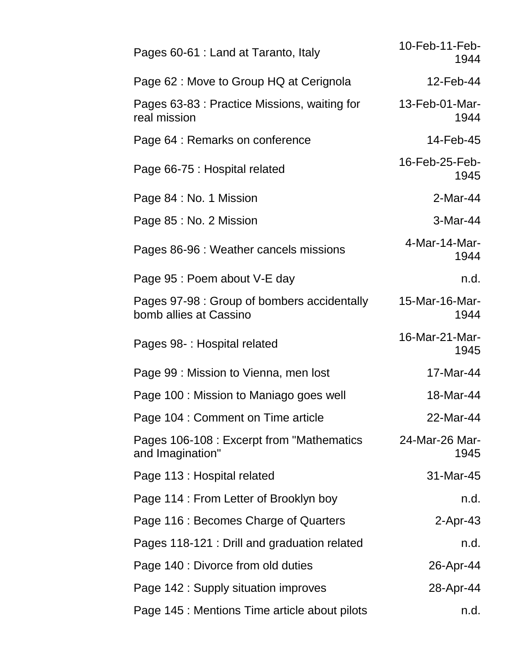| Pages 60-61 : Land at Taranto, Italy                                  | 10-Feb-11-Feb-<br>1944 |
|-----------------------------------------------------------------------|------------------------|
| Page 62 : Move to Group HQ at Cerignola                               | 12-Feb-44              |
| Pages 63-83 : Practice Missions, waiting for<br>real mission          | 13-Feb-01-Mar-<br>1944 |
| Page 64 : Remarks on conference                                       | 14-Feb-45              |
| Page 66-75 : Hospital related                                         | 16-Feb-25-Feb-<br>1945 |
| Page 84 : No. 1 Mission                                               | 2-Mar-44               |
| Page 85 : No. 2 Mission                                               | 3-Mar-44               |
| Pages 86-96 : Weather cancels missions                                | 4-Mar-14-Mar-<br>1944  |
| Page 95 : Poem about V-E day                                          | n.d.                   |
| Pages 97-98 : Group of bombers accidentally<br>bomb allies at Cassino | 15-Mar-16-Mar-<br>1944 |
| Pages 98-: Hospital related                                           | 16-Mar-21-Mar-<br>1945 |
| Page 99 : Mission to Vienna, men lost                                 | 17-Mar-44              |
| Page 100 : Mission to Maniago goes well                               | 18-Mar-44              |
| Page 104 : Comment on Time article                                    | 22-Mar-44              |
| Pages 106-108 : Excerpt from "Mathematics"<br>and Imagination"        | 24-Mar-26 Mar-<br>1945 |
| Page 113 : Hospital related                                           | 31-Mar-45              |
| Page 114 : From Letter of Brooklyn boy                                | n.d.                   |
| Page 116 : Becomes Charge of Quarters                                 | $2$ -Apr-43            |
| Pages 118-121 : Drill and graduation related                          | n.d.                   |
| Page 140 : Divorce from old duties                                    | 26-Apr-44              |
| Page 142 : Supply situation improves                                  | 28-Apr-44              |
| Page 145 : Mentions Time article about pilots                         | n.d.                   |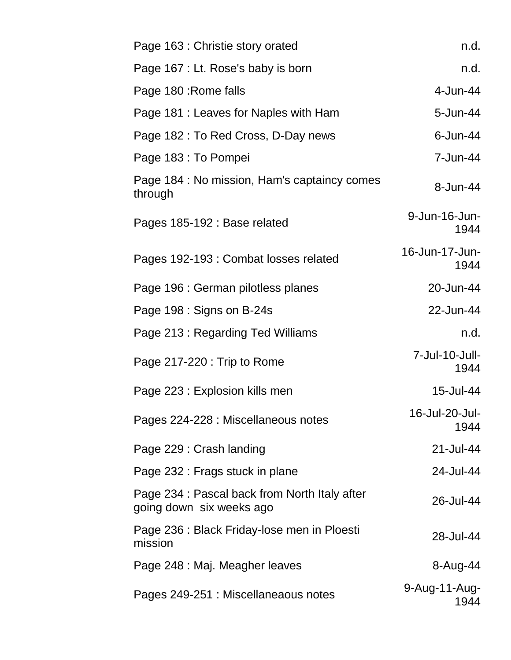| Page 163 : Christie story orated                                          | n.d.                   |
|---------------------------------------------------------------------------|------------------------|
| Page 167 : Lt. Rose's baby is born                                        | n.d.                   |
| Page 180 : Rome falls                                                     | 4-Jun-44               |
| Page 181 : Leaves for Naples with Ham                                     | 5-Jun-44               |
| Page 182 : To Red Cross, D-Day news                                       | $6$ -Jun-44            |
| Page 183 : To Pompei                                                      | 7-Jun-44               |
| Page 184 : No mission, Ham's captaincy comes<br>through                   | 8-Jun-44               |
| Pages 185-192 : Base related                                              | 9-Jun-16-Jun-<br>1944  |
| Pages 192-193 : Combat losses related                                     | 16-Jun-17-Jun-<br>1944 |
| Page 196 : German pilotless planes                                        | 20-Jun-44              |
| Page 198 : Signs on B-24s                                                 | 22-Jun-44              |
| Page 213 : Regarding Ted Williams                                         | n.d.                   |
| Page 217-220 : Trip to Rome                                               | 7-Jul-10-Jull-<br>1944 |
| Page 223 : Explosion kills men                                            | 15-Jul-44              |
| Pages 224-228 : Miscellaneous notes                                       | 16-Jul-20-Jul-<br>1944 |
| Page 229 : Crash landing                                                  | 21-Jul-44              |
| Page 232 : Frags stuck in plane                                           | 24-Jul-44              |
| Page 234 : Pascal back from North Italy after<br>going down six weeks ago | 26-Jul-44              |
| Page 236 : Black Friday-lose men in Ploesti<br>mission                    | 28-Jul-44              |
| Page 248 : Maj. Meagher leaves                                            | 8-Aug-44               |
| Pages 249-251 : Miscellaneaous notes                                      | 9-Aug-11-Aug-<br>1944  |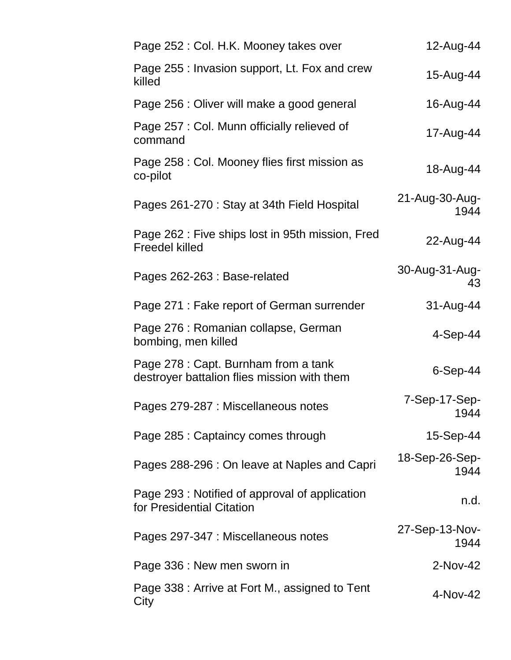| Page 252 : Col. H.K. Mooney takes over                                              | 12-Aug-44              |
|-------------------------------------------------------------------------------------|------------------------|
| Page 255 : Invasion support, Lt. Fox and crew<br>killed                             | 15-Aug-44              |
| Page 256 : Oliver will make a good general                                          | 16-Aug-44              |
| Page 257 : Col. Munn officially relieved of<br>command                              | 17-Aug-44              |
| Page 258 : Col. Mooney flies first mission as<br>co-pilot                           | 18-Aug-44              |
| Pages 261-270 : Stay at 34th Field Hospital                                         | 21-Aug-30-Aug-<br>1944 |
| Page 262 : Five ships lost in 95th mission, Fred<br><b>Freedel killed</b>           | 22-Aug-44              |
| Pages 262-263 : Base-related                                                        | 30-Aug-31-Aug-<br>43   |
| Page 271 : Fake report of German surrender                                          | 31-Aug-44              |
| Page 276 : Romanian collapse, German<br>bombing, men killed                         | $4-Sep-44$             |
| Page 278 : Capt. Burnham from a tank<br>destroyer battalion flies mission with them | $6-Sep-44$             |
| Pages 279-287 : Miscellaneous notes                                                 | 7-Sep-17-Sep-<br>1944  |
| Page 285 : Captaincy comes through                                                  | 15-Sep-44              |
| Pages 288-296 : On leave at Naples and Capri                                        | 18-Sep-26-Sep-<br>1944 |
| Page 293 : Notified of approval of application<br>for Presidential Citation         | n.d.                   |
| Pages 297-347 : Miscellaneous notes                                                 | 27-Sep-13-Nov-<br>1944 |
| Page 336 : New men sworn in                                                         | 2-Nov-42               |
| Page 338 : Arrive at Fort M., assigned to Tent<br>City                              | 4-Nov-42               |